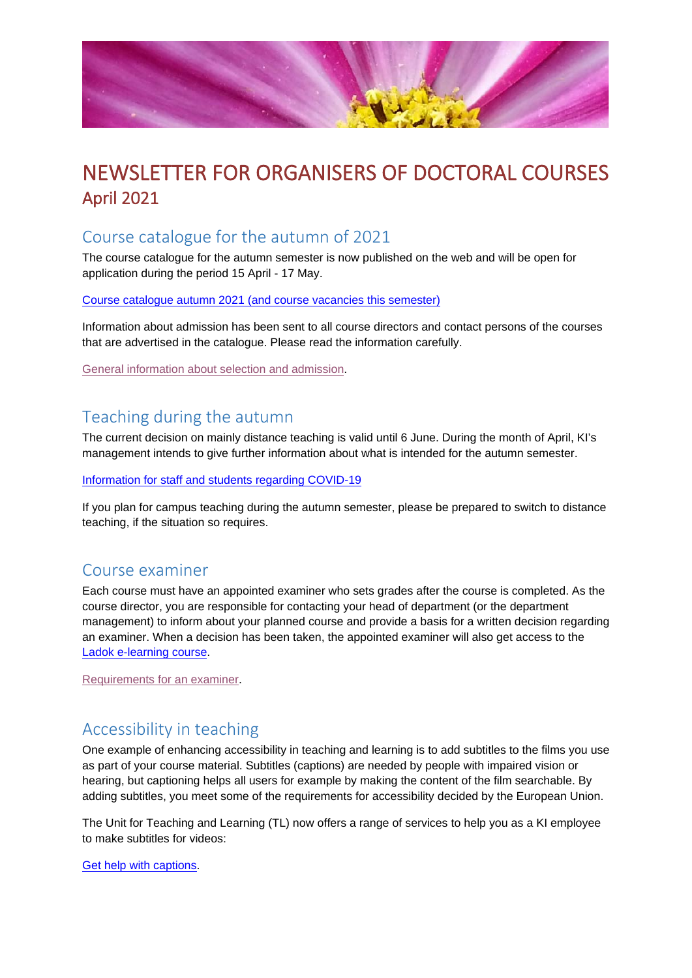

# NEWSLETTER FOR ORGANISERS OF DOCTORAL COURSES April 2021

#### Course catalogue for the autumn of 2021

The course catalogue for the autumn semester is now published on the web and will be open for application during the period 15 April - 17 May.

Course catalogue autumn 2021 [\(and course vacancies](https://staff.ki.se/course-catalogue-and-vacancies-doctoral-courses) this semester)

Information about admission has been sent to all course directors and contact persons of the courses that are advertised in the catalogue. Please read the information carefully.

[General information about selection and admission.](https://staff.ki.se/select-and-admit-to-doctoral-courses)

# Teaching during the autumn

The current decision on mainly distance teaching is valid until 6 June. During the month of April, KI's management intends to give further information about what is intended for the autumn semester.

[Information for staff and students regarding COVID-19](https://news.ki.se/information-for-staff-and-students-regarding-covid-19)

If you plan for campus teaching during the autumn semester, please be prepared to switch to distance teaching, if the situation so requires.

#### Course examiner

Each course must have an appointed examiner who sets grades after the course is completed. As the course director, you are responsible for contacting your head of department (or the department management) to inform about your planned course and provide a basis for a written decision regarding an examiner. When a decision has been taken, the appointed examiner will also get access to the [Ladok e-learning course.](https://staff.ki.se/ladok-e-learning-course-for-teachers-and-examiners)

[Requirements for an examiner.](https://staff.ki.se/examination-of-doctoral-courses)

# Accessibility in teaching

One example of enhancing accessibility in teaching and learning is to add subtitles to the films you use as part of your course material. Subtitles (captions) are needed by people with impaired vision or hearing, but captioning helps all users for example by making the content of the film searchable. By adding subtitles, you meet some of the requirements for accessibility decided by the European Union.

The Unit for Teaching and Learning (TL) now offers a range of services to help you as a KI employee to make subtitles for videos:

[Get help with captions.](https://news.ki.se/get-help-with-captions)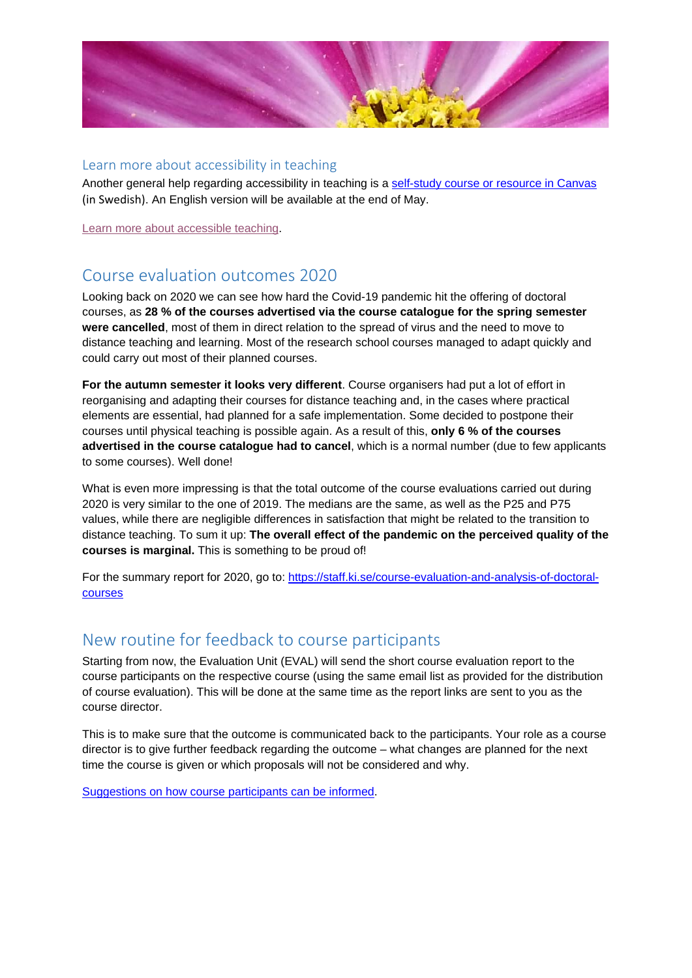

#### Learn more about accessibility in teaching

Another general help regarding accessibility in teaching is a [self-study course or resource in Canvas](https://ki.instructure.com/courses/8257) (in Swedish). An English version will be available at the end of May.

[Learn more about accessible teaching.](https://staff.ki.se/accessible-teaching)

# Course evaluation outcomes 2020

Looking back on 2020 we can see how hard the Covid-19 pandemic hit the offering of doctoral courses, as **28 % of the courses advertised via the course catalogue for the spring semester were cancelled**, most of them in direct relation to the spread of virus and the need to move to distance teaching and learning. Most of the research school courses managed to adapt quickly and could carry out most of their planned courses.

**For the autumn semester it looks very different**. Course organisers had put a lot of effort in reorganising and adapting their courses for distance teaching and, in the cases where practical elements are essential, had planned for a safe implementation. Some decided to postpone their courses until physical teaching is possible again. As a result of this, **only 6 % of the courses advertised in the course catalogue had to cancel**, which is a normal number (due to few applicants to some courses). Well done!

What is even more impressing is that the total outcome of the course evaluations carried out during 2020 is very similar to the one of 2019. The medians are the same, as well as the P25 and P75 values, while there are negligible differences in satisfaction that might be related to the transition to distance teaching. To sum it up: **The overall effect of the pandemic on the perceived quality of the courses is marginal.** This is something to be proud of!

For the summary report for 2020, go to: [https://staff.ki.se/course-evaluation-and-analysis-of-doctoral](https://staff.ki.se/course-evaluation-and-analysis-of-doctoral-courses)[courses](https://staff.ki.se/course-evaluation-and-analysis-of-doctoral-courses)

#### New routine for feedback to course participants

Starting from now, the Evaluation Unit (EVAL) will send the short course evaluation report to the course participants on the respective course (using the same email list as provided for the distribution of course evaluation). This will be done at the same time as the report links are sent to you as the course director.

This is to make sure that the outcome is communicated back to the participants. Your role as a course director is to give further feedback regarding the outcome – what changes are planned for the next time the course is given or which proposals will not be considered and why.

[Suggestions on how course participants can be informed.](https://staff.ki.se/course-evaluation-and-analysis-of-doctoral-courses)